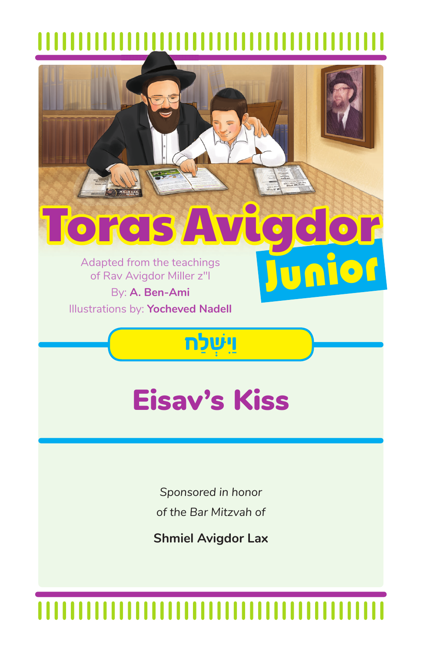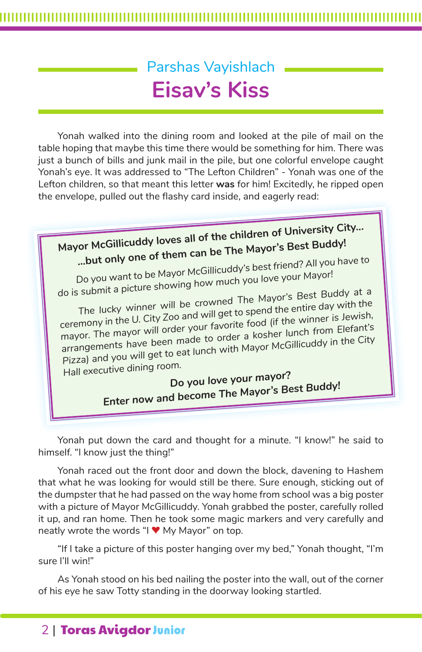# Parshas Vayishlach **Eisav's Kiss**

Yonah walked into the dining room and looked at the pile of mail on the table hoping that maybe this time there would be something for him. There was just a bunch of bills and junk mail in the pile, but one colorful envelope caught Yonah's eye. It was addressed to "The Lefton Children" - Yonah was one of the Lefton children, so that meant this letter **was** for him! Excitedly, he ripped open the envelope, pulled out the flashy card inside, and eagerly read:



Yonah put down the card and thought for a minute. "I know!" he said to himself. "I know just the thing!"

Yonah raced out the front door and down the block, davening to Hashem that what he was looking for would still be there. Sure enough, sticking out of the dumpster that he had passed on the way home from school was a big poster with a picture of Mayor McGillicuddy. Yonah grabbed the poster, carefully rolled it up, and ran home. Then he took some magic markers and very carefully and neatly wrote the words "I **♥** My Mayor" on top.

"If I take a picture of this poster hanging over my bed," Yonah thought, "I'm sure I'll win!"

As Yonah stood on his bed nailing the poster into the wall, out of the corner of his eye he saw Totty standing in the doorway looking startled.

## 2 | Toras Avigdor Junior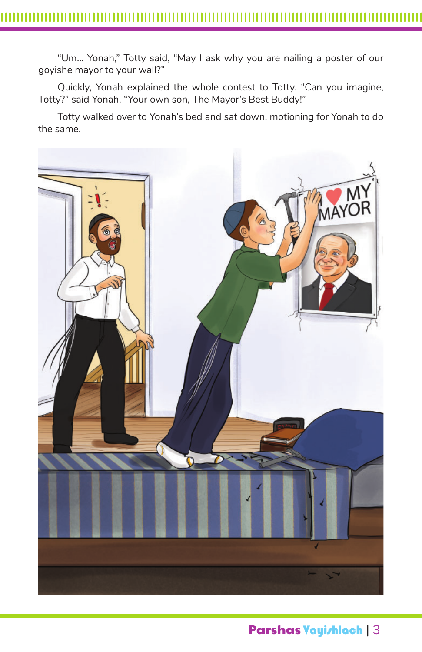"Um… Yonah," Totty said, "May I ask why you are nailing a poster of our goyishe mayor to your wall?"

Quickly, Yonah explained the whole contest to Totty. "Can you imagine, Totty?" said Yonah. "Your own son, The Mayor's Best Buddy!"

Totty walked over to Yonah's bed and sat down, motioning for Yonah to do the same.



Parshas Vayishlach | 3